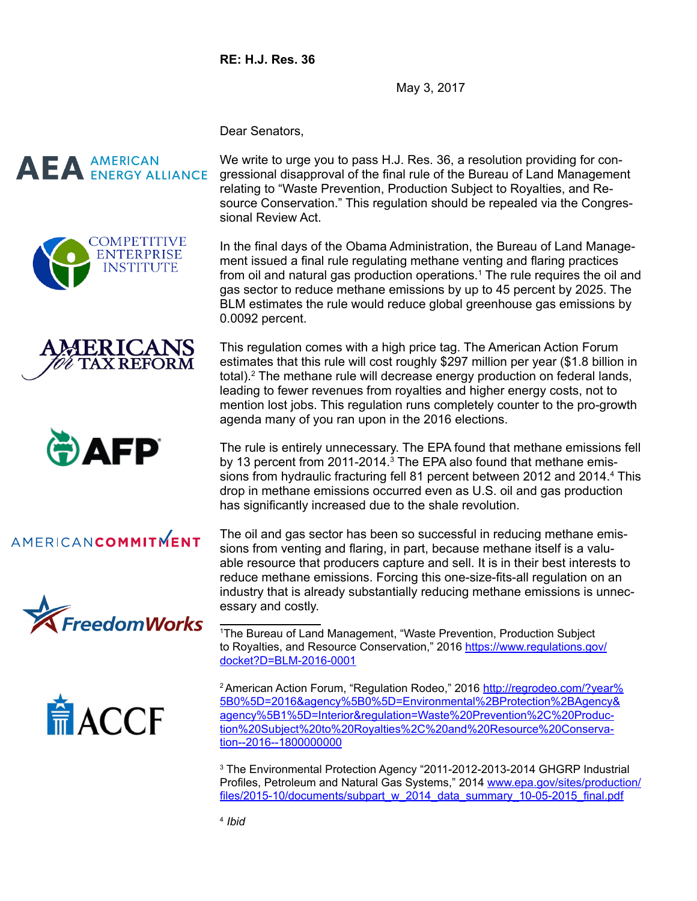**RE: H.J. Res. 36**

May 3, 2017

Dear Senators,

## **AEA** AMERICAN







## AMERICANCOMMITMENT





We write to urge you to pass H.J. Res. 36, a resolution providing for congressional disapproval of the final rule of the Bureau of Land Management relating to "Waste Prevention, Production Subject to Royalties, and Resource Conservation." This regulation should be repealed via the Congressional Review Act.

In the final days of the Obama Administration, the Bureau of Land Management issued a final rule regulating methane venting and flaring practices from oil and natural gas production operations.<sup>1</sup> The rule requires the oil and gas sector to reduce methane emissions by up to 45 percent by 2025. The BLM estimates the rule would reduce global greenhouse gas emissions by 0.0092 percent.

This regulation comes with a high price tag. The American Action Forum estimates that this rule will cost roughly \$297 million per year (\$1.8 billion in total).2 The methane rule will decrease energy production on federal lands, leading to fewer revenues from royalties and higher energy costs, not to mention lost jobs. This regulation runs completely counter to the pro-growth agenda many of you ran upon in the 2016 elections.

The rule is entirely unnecessary. The EPA found that methane emissions fell by 13 percent from 2011-2014.<sup>3</sup> The EPA also found that methane emissions from hydraulic fracturing fell 81 percent between 2012 and 2014.<sup>4</sup> This drop in methane emissions occurred even as U.S. oil and gas production has significantly increased due to the shale revolution.

The oil and gas sector has been so successful in reducing methane emissions from venting and flaring, in part, because methane itself is a valuable resource that producers capture and sell. It is in their best interests to reduce methane emissions. Forcing this one-size-fits-all regulation on an industry that is already substantially reducing methane emissions is unnecessary and costly.

1 The Bureau of Land Management, "Waste Prevention, Production Subject to Royalties, and Resource Conservation," 2016 [https://www.regulations.gov/](https://www.regulations.gov/docket?D=BLM-2016-0001) [docket?D=BLM-2016-0001](https://www.regulations.gov/docket?D=BLM-2016-0001)

<sup>2</sup> American Action Forum, "Regulation Rodeo," 2016 [http://regrodeo.com/?year%](http://regrodeo.com/?year%5B0%5D=2016&agency%5B0%5D=Environmental%2BProtection%2BAgency&agency%5B1%5D=Interior®ulation=Waste%20Prevention%2C%20Production%20Subject%20to%20Royalties%2C%20and%20Resource%20Conservation--2016--1800000000) [5B0%5D=2016&agency%5B0%5D=Environmental%2BProtection%2BAgency&](http://regrodeo.com/?year%5B0%5D=2016&agency%5B0%5D=Environmental%2BProtection%2BAgency&agency%5B1%5D=Interior®ulation=Waste%20Prevention%2C%20Production%20Subject%20to%20Royalties%2C%20and%20Resource%20Conservation--2016--1800000000) [agency%5B1%5D=Interior&regulation=Waste%20Prevention%2C%20Produc](http://regrodeo.com/?year%5B0%5D=2016&agency%5B0%5D=Environmental%2BProtection%2BAgency&agency%5B1%5D=Interior®ulation=Waste%20Prevention%2C%20Production%20Subject%20to%20Royalties%2C%20and%20Resource%20Conservation--2016--1800000000)[tion%20Subject%20to%20Royalties%2C%20and%20Resource%20Conserva](http://regrodeo.com/?year%5B0%5D=2016&agency%5B0%5D=Environmental%2BProtection%2BAgency&agency%5B1%5D=Interior®ulation=Waste%20Prevention%2C%20Production%20Subject%20to%20Royalties%2C%20and%20Resource%20Conservation--2016--1800000000)[tion--2016--1800000000](http://regrodeo.com/?year%5B0%5D=2016&agency%5B0%5D=Environmental%2BProtection%2BAgency&agency%5B1%5D=Interior®ulation=Waste%20Prevention%2C%20Production%20Subject%20to%20Royalties%2C%20and%20Resource%20Conservation--2016--1800000000)

3 The Environmental Protection Agency "2011-2012-2013-2014 GHGRP Industrial Profiles, Petroleum and Natural Gas Systems," 2014 [www.epa.gov/sites/production/](http://www.epa.gov/sites/production/files/2015-10/documents/subpart_w_2014_data_summary_10-05-2015_final.pdf) [files/2015-10/documents/subpart\\_w\\_2014\\_data\\_summary\\_10-05-2015\\_final.pdf](http://www.epa.gov/sites/production/files/2015-10/documents/subpart_w_2014_data_summary_10-05-2015_final.pdf)